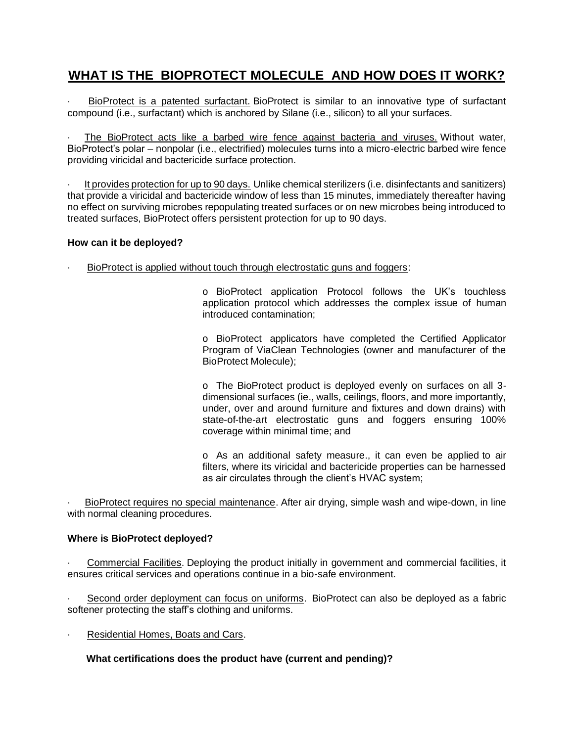# **WHAT IS THE BIOPROTECT MOLECULE AND HOW DOES IT WORK?**

BioProtect is a patented surfactant. BioProtect is similar to an innovative type of surfactant compound (i.e., surfactant) which is anchored by Silane (i.e., silicon) to all your surfaces.

The BioProtect acts like a barbed wire fence against bacteria and viruses. Without water, BioProtect's polar – nonpolar (i.e., electrified) molecules turns into a micro-electric barbed wire fence providing viricidal and bactericide surface protection.

· It provides protection for up to 90 days. Unlike chemical sterilizers (i.e. disinfectants and sanitizers) that provide a viricidal and bactericide window of less than 15 minutes, immediately thereafter having no effect on surviving microbes repopulating treated surfaces or on new microbes being introduced to treated surfaces, BioProtect offers persistent protection for up to 90 days.

## **How can it be deployed?**

· BioProtect is applied without touch through electrostatic guns and foggers:

o BioProtect application Protocol follows the UK's touchless application protocol which addresses the complex issue of human introduced contamination;

o BioProtect applicators have completed the Certified Applicator Program of ViaClean Technologies (owner and manufacturer of the BioProtect Molecule);

o The BioProtect product is deployed evenly on surfaces on all 3 dimensional surfaces (ie., walls, ceilings, floors, and more importantly, under, over and around furniture and fixtures and down drains) with state-of-the-art electrostatic guns and foggers ensuring 100% coverage within minimal time; and

o As an additional safety measure., it can even be applied to air filters, where its viricidal and bactericide properties can be harnessed as air circulates through the client's HVAC system;

BioProtect requires no special maintenance. After air drying, simple wash and wipe-down, in line with normal cleaning procedures.

## **Where is BioProtect deployed?**

· Commercial Facilities. Deploying the product initially in government and commercial facilities, it ensures critical services and operations continue in a bio-safe environment.

Second order deployment can focus on uniforms. BioProtect can also be deployed as a fabric softener protecting the staff's clothing and uniforms.

Residential Homes, Boats and Cars.

# **What certifications does the product have (current and pending)?**